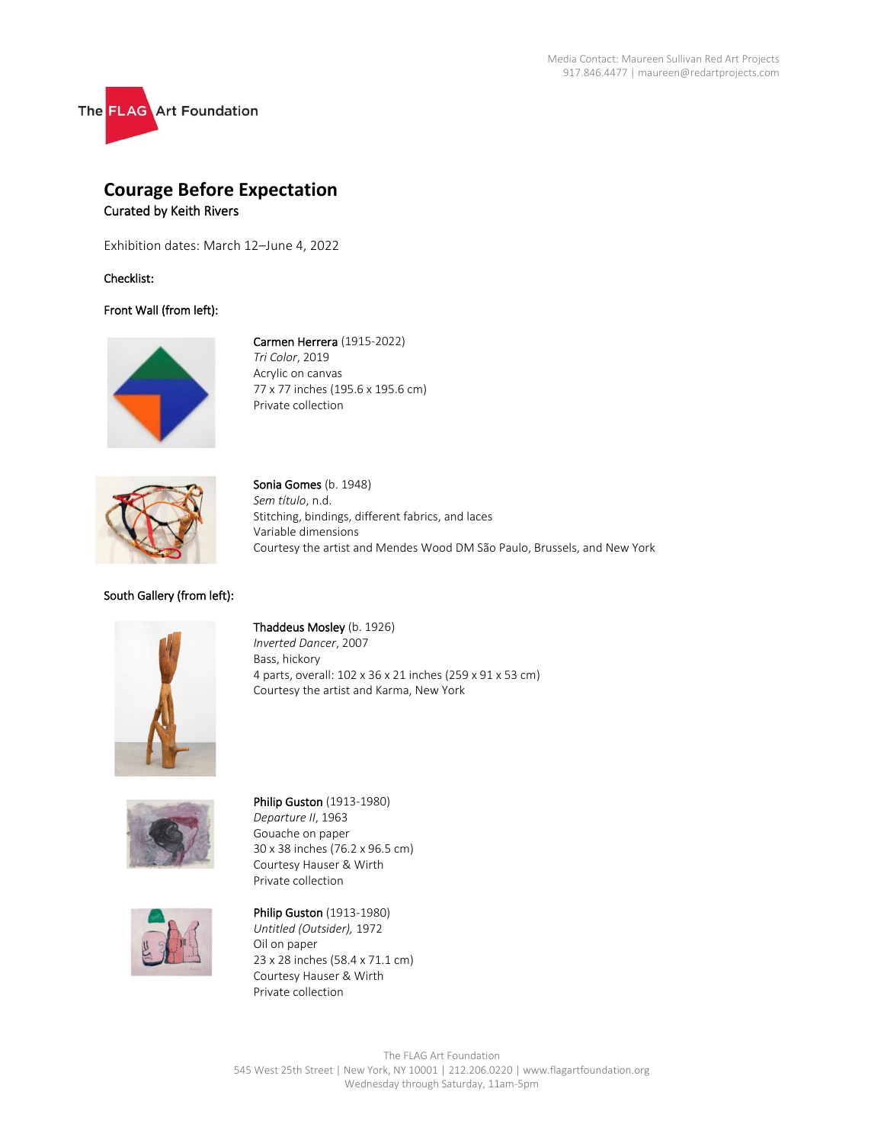

# **Courage Before Expectation** Curated by Keith Rivers

Exhibition dates: March 12–June 4, 2022

Checklist:

## Front Wall (from left):



Carmen Herrera (1915-2022) *Tri Color*, 2019 Acrylic on canvas 77 x 77 inches (195.6 x 195.6 cm) Private collection



Sonia Gomes (b. 1948) *Sem título*, n.d. Stitching, bindings, different fabrics, and laces Variable dimensions Courtesy the artist and Mendes Wood DM São Paulo, Brussels, and New York

## South Gallery (from left):



Thaddeus Mosley (b. 1926) *Inverted Dancer*, 2007 Bass, hickory 4 parts, overall: 102 x 36 x 21 inches (259 x 91 x 53 cm) Courtesy the artist and Karma, New York



Philip Guston (1913-1980) *Departure II*, 1963 Gouache on paper 30 x 38 inches (76.2 x 96.5 cm) Courtesy Hauser & Wirth Private collection



Philip Guston (1913-1980) *Untitled (Outsider),* 1972 Oil on paper 23 x 28 inches (58.4 x 71.1 cm) Courtesy Hauser & Wirth Private collection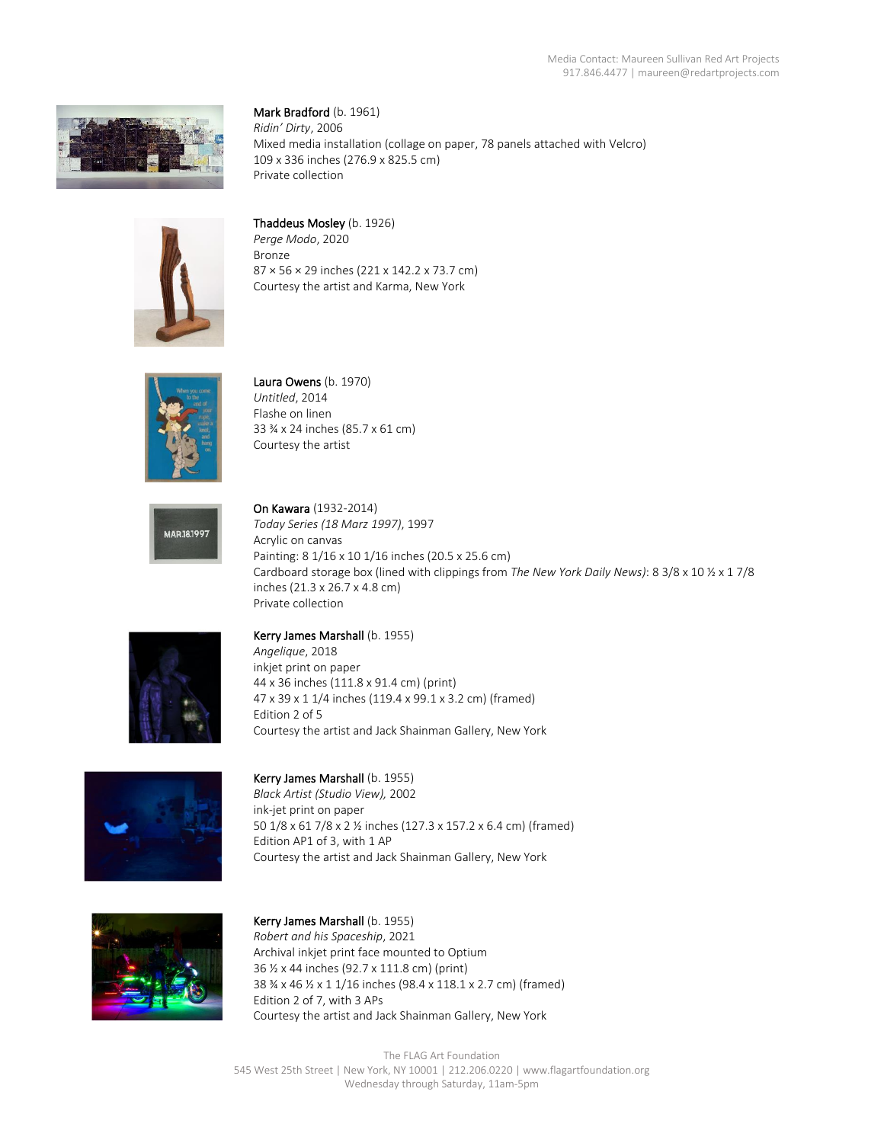

Mark Bradford (b. 1961) *Ridin' Dirty*, 2006 Mixed media installation (collage on paper, 78 panels attached with Velcro) 109 x 336 inches (276.9 x 825.5 cm) Private collection



Thaddeus Mosley (b. 1926)

*Perge Modo*, 2020 Bronze 87 × 56 × 29 inches (221 x 142.2 x 73.7 cm) Courtesy the artist and Karma, New York



Laura Owens (b. 1970) *Untitled*, 2014 Flashe on linen 33 ¾ x 24 inches (85.7 x 61 cm) Courtesy the artist



On Kawara (1932-2014) *Today Series (18 Marz 1997)*, 1997 Acrylic on canvas Painting: 8 1/16 x 10 1/16 inches (20.5 x 25.6 cm) Cardboard storage box (lined with clippings from *The New York Daily News)*: 8 3/8 x 10 ½ x 1 7/8 inches (21.3 x 26.7 x 4.8 cm) Private collection



### Kerry James Marshall (b. 1955)

*Angelique*, 2018 inkjet print on paper 44 x 36 inches (111.8 x 91.4 cm) (print) 47 x 39 x 1 1/4 inches (119.4 x 99.1 x 3.2 cm) (framed) Edition 2 of 5 Courtesy the artist and Jack Shainman Gallery, New York



Kerry James Marshall (b. 1955)

*Black Artist (Studio View),* 2002 ink-jet print on paper 50 1/8 x 61 7/8 x 2 ½ inches (127.3 x 157.2 x 6.4 cm) (framed) Edition AP1 of 3, with 1 AP Courtesy the artist and Jack Shainman Gallery, New York



Kerry James Marshall (b. 1955) *Robert and his Spaceship*, 2021 Archival inkjet print face mounted to Optium 36 ½ x 44 inches (92.7 x 111.8 cm) (print) 38 ¾ x 46 ½ x 1 1/16 inches (98.4 x 118.1 x 2.7 cm) (framed) Edition 2 of 7, with 3 APs Courtesy the artist and Jack Shainman Gallery, New York

The FLAG Art Foundation 545 West 25th Street | New York, NY 10001 | 212.206.0220 | www.flagartfoundation.org Wednesday through Saturday, 11am-5pm